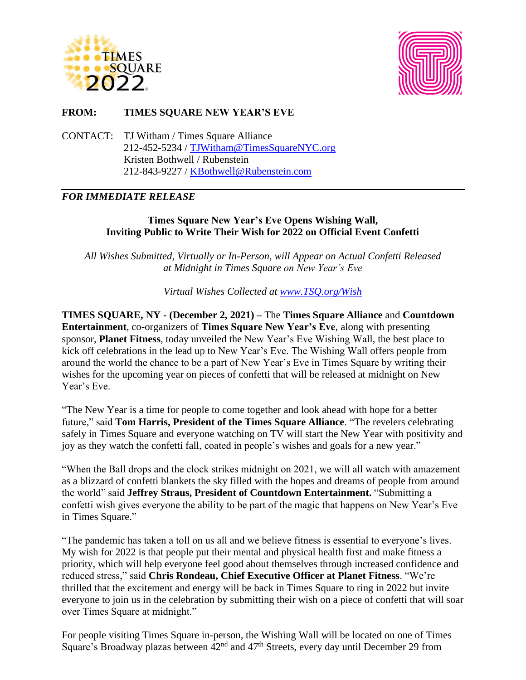



# **FROM: TIMES SQUARE NEW YEAR'S EVE**

CONTACT: TJ Witham / Times Square Alliance 212-452-5234 / [TJWitham@TimesSquareNYC.org](mailto:TJWitham@TimesSquareNYC.org) Kristen Bothwell / Rubenstein 212-843-9227 / [KBothwell@Rubenstein.com](mailto:KBothwell@Rubenstein.com)

# *FOR IMMEDIATE RELEASE*

### **Times Square New Year's Eve Opens Wishing Wall, Inviting Public to Write Their Wish for 2022 on Official Event Confetti**

*All Wishes Submitted, Virtually or In-Person, will Appear on Actual Confetti Released at Midnight in Times Square on New Year's Eve*

*Virtual Wishes Collected at [www.TSQ.org/Wish](http://www.tsq.org/Wish)*

**TIMES SQUARE, NY - (December 2, 2021) –** The **Times Square Alliance** and **Countdown Entertainment**, co-organizers of **Times Square New Year's Eve**, along with presenting sponsor, **Planet Fitness**, today unveiled the New Year's Eve Wishing Wall, the best place to kick off celebrations in the lead up to New Year's Eve. The Wishing Wall offers people from around the world the chance to be a part of New Year's Eve in Times Square by writing their wishes for the upcoming year on pieces of confetti that will be released at midnight on New Year's Eve.

"The New Year is a time for people to come together and look ahead with hope for a better future," said **Tom Harris, President of the Times Square Alliance**. "The revelers celebrating safely in Times Square and everyone watching on TV will start the New Year with positivity and joy as they watch the confetti fall, coated in people's wishes and goals for a new year."

"When the Ball drops and the clock strikes midnight on 2021, we will all watch with amazement as a blizzard of confetti blankets the sky filled with the hopes and dreams of people from around the world" said **Jeffrey Straus, President of Countdown Entertainment.** "Submitting a confetti wish gives everyone the ability to be part of the magic that happens on New Year's Eve in Times Square."

"The pandemic has taken a toll on us all and we believe fitness is essential to everyone's lives. My wish for 2022 is that people put their mental and physical health first and make fitness a priority, which will help everyone feel good about themselves through increased confidence and reduced stress," said **Chris Rondeau, Chief Executive Officer at Planet Fitness**. "We're thrilled that the excitement and energy will be back in Times Square to ring in 2022 but invite everyone to join us in the celebration by submitting their wish on a piece of confetti that will soar over Times Square at midnight."

For people visiting Times Square in-person, the Wishing Wall will be located on one of Times Square's Broadway plazas between  $42<sup>nd</sup>$  and  $47<sup>th</sup>$  Streets, every day until December 29 from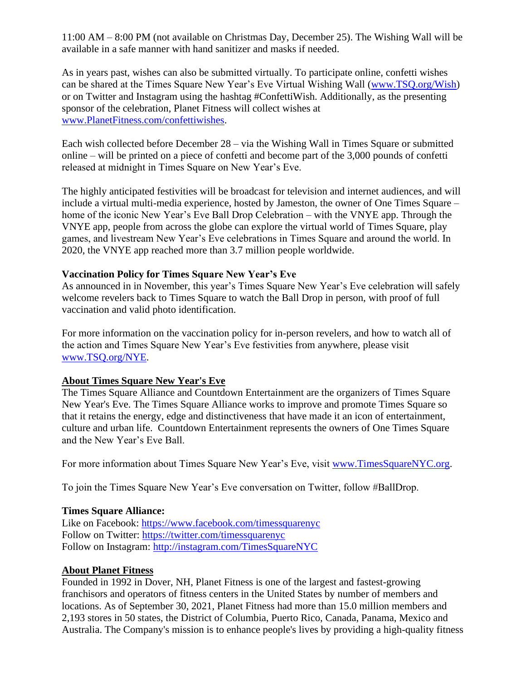11:00 AM – 8:00 PM (not available on Christmas Day, December 25). The Wishing Wall will be available in a safe manner with hand sanitizer and masks if needed.

As in years past, wishes can also be submitted virtually. To participate online, confetti wishes can be shared at the Times Square New Year's Eve Virtual Wishing Wall [\(www.TSQ.org/Wish\)](http://www.tsq.org/Wish) or on Twitter and Instagram using the hashtag #ConfettiWish. Additionally, as the presenting sponsor of the celebration, Planet Fitness will collect wishes at [www.PlanetFitness.com/confettiwishes.](http://www.planetfitness.com/confettiwishes)

Each wish collected before December 28 – via the Wishing Wall in Times Square or submitted online – will be printed on a piece of confetti and become part of the 3,000 pounds of confetti released at midnight in Times Square on New Year's Eve.

The highly anticipated festivities will be broadcast for television and internet audiences, and will include a virtual multi-media experience, hosted by Jameston, the owner of One Times Square – home of the iconic New Year's Eve Ball Drop Celebration – with the VNYE app. Through the VNYE app, people from across the globe can explore the virtual world of Times Square, play games, and livestream New Year's Eve celebrations in Times Square and around the world. In 2020, the VNYE app reached more than 3.7 million people worldwide.

#### **Vaccination Policy for Times Square New Year's Eve**

As announced in in November, this year's Times Square New Year's Eve celebration will safely welcome revelers back to Times Square to watch the Ball Drop in person, with proof of full vaccination and valid photo identification.

For more information on the vaccination policy for in-person revelers, and how to watch all of the action and Times Square New Year's Eve festivities from anywhere, please visit [www.TSQ.org/NYE.](http://www.tsq.org/NYE)

### **About Times Square New Year's Eve**

The Times Square Alliance and Countdown Entertainment are the organizers of Times Square New Year's Eve. The Times Square Alliance works to improve and promote Times Square so that it retains the energy, edge and distinctiveness that have made it an icon of entertainment, culture and urban life. Countdown Entertainment represents the owners of One Times Square and the New Year's Eve Ball.

For more information about Times Square New Year's Eve, visit [www.TimesSquareNYC.org.](http://www.timessquarenyc.org/index.aspx)

To join the Times Square New Year's Eve conversation on Twitter, follow #BallDrop.

#### **Times Square Alliance:**

Like on Facebook: [https://www.facebook.com/timessquarenyc](http://www.facebook.com/timessquarenyc) Follow on Twitter: [https://twitter.com/timessquarenyc](http://www.twitter.com/timessquarenyc) Follow on Instagram: [http://instagram.com/TimesSquareNYC](http://www.instagram.com/timessquarenyc)

### **About Planet Fitness**

Founded in 1992 in Dover, NH, Planet Fitness is one of the largest and fastest-growing franchisors and operators of fitness centers in the United States by number of members and locations. As of September 30, 2021, Planet Fitness had more than 15.0 million members and 2,193 stores in 50 states, the District of Columbia, Puerto Rico, Canada, Panama, Mexico and Australia. The Company's mission is to enhance people's lives by providing a high-quality fitness